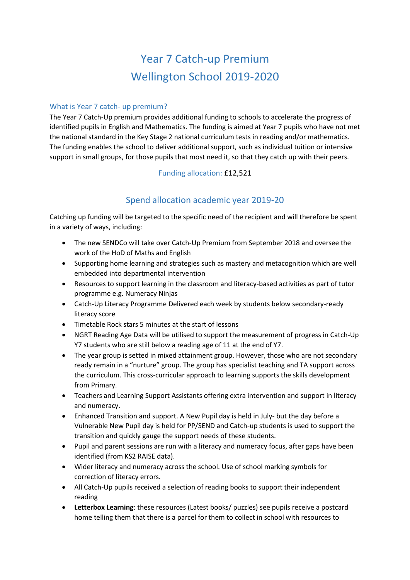# Year 7 Catch-up Premium Wellington School 2019-2020

#### What is Year 7 catch- up premium?

The Year 7 Catch-Up premium provides additional funding to schools to accelerate the progress of identified pupils in English and Mathematics. The funding is aimed at Year 7 pupils who have not met the national standard in the Key Stage 2 national curriculum tests in reading and/or mathematics. The funding enables the school to deliver additional support, such as individual tuition or intensive support in small groups, for those pupils that most need it, so that they catch up with their peers.

#### Funding allocation: £12,521

## Spend allocation academic year 2019-20

Catching up funding will be targeted to the specific need of the recipient and will therefore be spent in a variety of ways, including:

- The new SENDCo will take over Catch-Up Premium from September 2018 and oversee the work of the HoD of Maths and English
- Supporting home learning and strategies such as mastery and metacognition which are well embedded into departmental intervention
- Resources to support learning in the classroom and literacy-based activities as part of tutor programme e.g. Numeracy Ninjas
- Catch-Up Literacy Programme Delivered each week by students below secondary-ready literacy score
- Timetable Rock stars 5 minutes at the start of lessons
- NGRT Reading Age Data will be utilised to support the measurement of progress in Catch-Up Y7 students who are still below a reading age of 11 at the end of Y7.
- The year group is setted in mixed attainment group. However, those who are not secondary ready remain in a "nurture" group. The group has specialist teaching and TA support across the curriculum. This cross-curricular approach to learning supports the skills development from Primary.
- Teachers and Learning Support Assistants offering extra intervention and support in literacy and numeracy.
- Enhanced Transition and support. A New Pupil day is held in July- but the day before a Vulnerable New Pupil day is held for PP/SEND and Catch-up students is used to support the transition and quickly gauge the support needs of these students.
- Pupil and parent sessions are run with a literacy and numeracy focus, after gaps have been identified (from KS2 RAISE data).
- Wider literacy and numeracy across the school. Use of school marking symbols for correction of literacy errors.
- All Catch-Up pupils received a selection of reading books to support their independent reading
- **Letterbox Learning**: these resources (Latest books/ puzzles) see pupils receive a postcard home telling them that there is a parcel for them to collect in school with resources to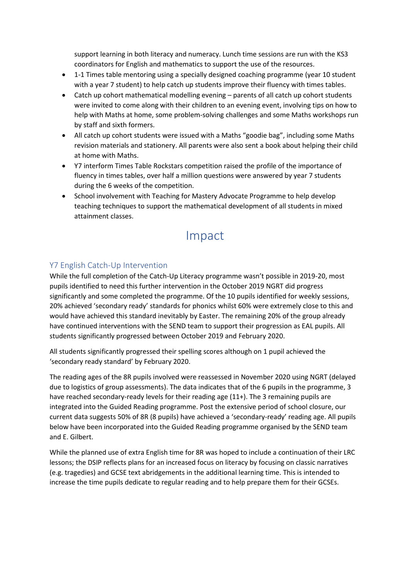support learning in both literacy and numeracy. Lunch time sessions are run with the KS3 coordinators for English and mathematics to support the use of the resources.

- 1-1 Times table mentoring using a specially designed coaching programme (year 10 student with a year 7 student) to help catch up students improve their fluency with times tables.
- Catch up cohort mathematical modelling evening parents of all catch up cohort students were invited to come along with their children to an evening event, involving tips on how to help with Maths at home, some problem-solving challenges and some Maths workshops run by staff and sixth formers.
- All catch up cohort students were issued with a Maths "goodie bag", including some Maths revision materials and stationery. All parents were also sent a book about helping their child at home with Maths.
- Y7 interform Times Table Rockstars competition raised the profile of the importance of fluency in times tables, over half a million questions were answered by year 7 students during the 6 weeks of the competition.
- School involvement with Teaching for Mastery Advocate Programme to help develop teaching techniques to support the mathematical development of all students in mixed attainment classes.

## Impact

#### Y7 English Catch-Up Intervention

While the full completion of the Catch-Up Literacy programme wasn't possible in 2019-20, most pupils identified to need this further intervention in the October 2019 NGRT did progress significantly and some completed the programme. Of the 10 pupils identified for weekly sessions, 20% achieved 'secondary ready' standards for phonics whilst 60% were extremely close to this and would have achieved this standard inevitably by Easter. The remaining 20% of the group already have continued interventions with the SEND team to support their progression as EAL pupils. All students significantly progressed between October 2019 and February 2020.

All students significantly progressed their spelling scores although on 1 pupil achieved the 'secondary ready standard' by February 2020.

The reading ages of the 8R pupils involved were reassessed in November 2020 using NGRT (delayed due to logistics of group assessments). The data indicates that of the 6 pupils in the programme, 3 have reached secondary-ready levels for their reading age (11+). The 3 remaining pupils are integrated into the Guided Reading programme. Post the extensive period of school closure, our current data suggests 50% of 8R (8 pupils) have achieved a 'secondary-ready' reading age. All pupils below have been incorporated into the Guided Reading programme organised by the SEND team and E. Gilbert.

While the planned use of extra English time for 8R was hoped to include a continuation of their LRC lessons; the DSIP reflects plans for an increased focus on literacy by focusing on classic narratives (e.g. tragedies) and GCSE text abridgements in the additional learning time. This is intended to increase the time pupils dedicate to regular reading and to help prepare them for their GCSEs.